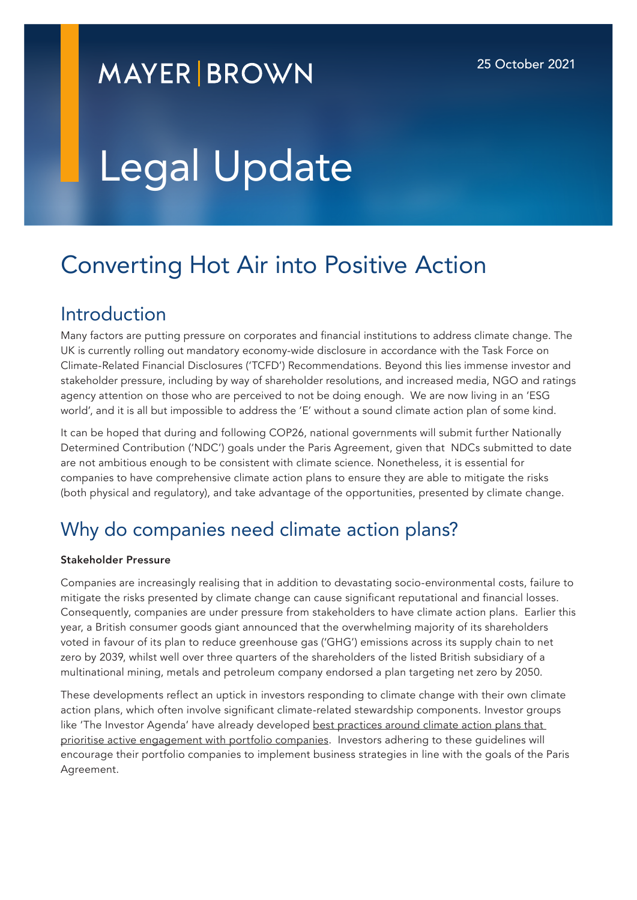# **MAYER BROWN**

# Legal Update

# Converting Hot Air into Positive Action

### Introduction

Many factors are putting pressure on corporates and financial institutions to address climate change. The UK is currently rolling out mandatory economy-wide disclosure in accordance with the Task Force on Climate-Related Financial Disclosures ('TCFD') Recommendations. Beyond this lies immense investor and stakeholder pressure, including by way of shareholder resolutions, and increased media, NGO and ratings agency attention on those who are perceived to not be doing enough. We are now living in an 'ESG world', and it is all but impossible to address the 'E' without a sound climate action plan of some kind.

It can be hoped that during and following COP26, national governments will submit further Nationally Determined Contribution ('NDC') goals under the Paris Agreement, given that NDCs submitted to date are not ambitious enough to be consistent with climate science. Nonetheless, it is essential for companies to have comprehensive climate action plans to ensure they are able to mitigate the risks (both physical and regulatory), and take advantage of the opportunities, presented by climate change.

## Why do companies need climate action plans?

#### Stakeholder Pressure

Companies are increasingly realising that in addition to devastating socio-environmental costs, failure to mitigate the risks presented by climate change can cause significant reputational and financial losses. Consequently, companies are under pressure from stakeholders to have climate action plans. Earlier this year, a British consumer goods giant announced that the overwhelming majority of its shareholders voted in favour of its plan to reduce greenhouse gas ('GHG') emissions across its supply chain to net zero by 2039, whilst well over three quarters of the shareholders of the listed British subsidiary of a multinational mining, metals and petroleum company endorsed a plan targeting net zero by 2050.

These developments reflect an uptick in investors responding to climate change with their own climate action plans, which often involve significant climate-related stewardship components. Investor groups like 'The Investor Agenda' have already developed best practices around climate action plans that [prioritise active engagement with portfolio companies](https://theinvestoragenda.org/icaps/). Investors adhering to these guidelines will encourage their portfolio companies to implement business strategies in line with the goals of the Paris Agreement.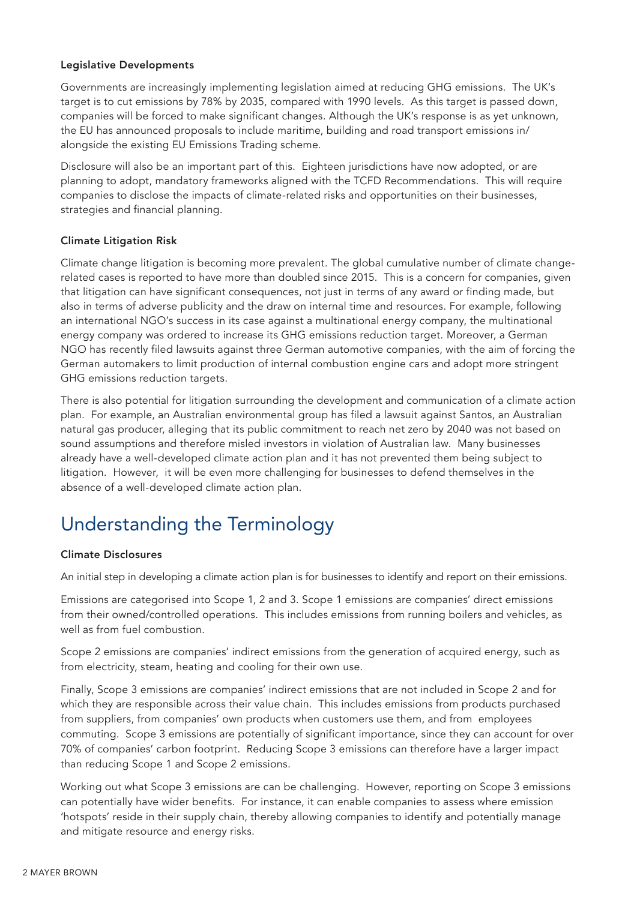#### Legislative Developments

Governments are increasingly implementing legislation aimed at reducing GHG emissions. The UK's target is to cut emissions by 78% by 2035, compared with 1990 levels. As this target is passed down, companies will be forced to make significant changes. Although the UK's response is as yet unknown, the EU has announced proposals to include maritime, building and road transport emissions in/ alongside the existing EU Emissions Trading scheme.

Disclosure will also be an important part of this. Eighteen jurisdictions have now adopted, or are planning to adopt, mandatory frameworks aligned with the TCFD Recommendations. This will require companies to disclose the impacts of climate-related risks and opportunities on their businesses, strategies and financial planning.

#### Climate Litigation Risk

Climate change litigation is becoming more prevalent. The global cumulative number of climate changerelated cases is reported to have more than doubled since 2015. This is a concern for companies, given that litigation can have significant consequences, not just in terms of any award or finding made, but also in terms of adverse publicity and the draw on internal time and resources. For example, following an international NGO's success in its case against a multinational energy company, the multinational energy company was ordered to increase its GHG emissions reduction target. Moreover, a German NGO has recently filed lawsuits against three German automotive companies, with the aim of forcing the German automakers to limit production of internal combustion engine cars and adopt more stringent GHG emissions reduction targets.

There is also potential for litigation surrounding the development and communication of a climate action plan. For example, an Australian environmental group has filed a lawsuit against Santos, an Australian natural gas producer, alleging that its public commitment to reach net zero by 2040 was not based on sound assumptions and therefore misled investors in violation of Australian law. Many businesses already have a well-developed climate action plan and it has not prevented them being subject to litigation. However, it will be even more challenging for businesses to defend themselves in the absence of a well-developed climate action plan.

# Understanding the Terminology

#### Climate Disclosures

An initial step in developing a climate action plan is for businesses to identify and report on their emissions.

Emissions are categorised into Scope 1, 2 and 3. Scope 1 emissions are companies' direct emissions from their owned/controlled operations. This includes emissions from running boilers and vehicles, as well as from fuel combustion.

Scope 2 emissions are companies' indirect emissions from the generation of acquired energy, such as from electricity, steam, heating and cooling for their own use.

Finally, Scope 3 emissions are companies' indirect emissions that are not included in Scope 2 and for which they are responsible across their value chain. This includes emissions from products purchased from suppliers, from companies' own products when customers use them, and from employees commuting. Scope 3 emissions are potentially of significant importance, since they can account for over 70% of companies' carbon footprint. Reducing Scope 3 emissions can therefore have a larger impact than reducing Scope 1 and Scope 2 emissions.

Working out what Scope 3 emissions are can be challenging. However, reporting on Scope 3 emissions can potentially have wider benefits. For instance, it can enable companies to assess where emission 'hotspots' reside in their supply chain, thereby allowing companies to identify and potentially manage and mitigate resource and energy risks.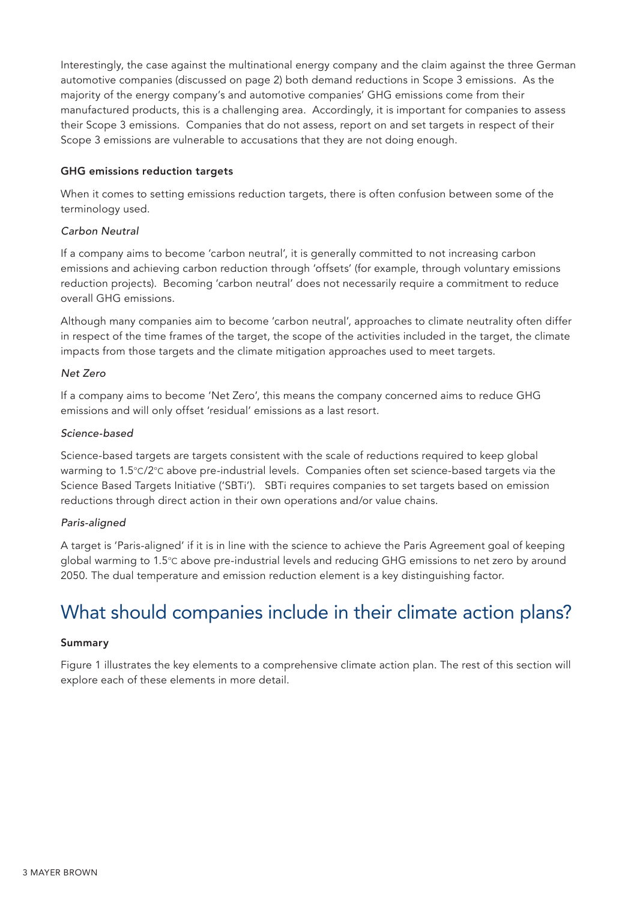Interestingly, the case against the multinational energy company and the claim against the three German automotive companies (discussed on page 2) both demand reductions in Scope 3 emissions. As the majority of the energy company's and automotive companies' GHG emissions come from their manufactured products, this is a challenging area. Accordingly, it is important for companies to assess their Scope 3 emissions. Companies that do not assess, report on and set targets in respect of their Scope 3 emissions are vulnerable to accusations that they are not doing enough.

#### GHG emissions reduction targets

When it comes to setting emissions reduction targets, there is often confusion between some of the terminology used.

#### *Carbon Neutral*

If a company aims to become 'carbon neutral', it is generally committed to not increasing carbon emissions and achieving carbon reduction through 'offsets' (for example, through voluntary emissions reduction projects). Becoming 'carbon neutral' does not necessarily require a commitment to reduce overall GHG emissions.

Although many companies aim to become 'carbon neutral', approaches to climate neutrality often differ in respect of the time frames of the target, the scope of the activities included in the target, the climate impacts from those targets and the climate mitigation approaches used to meet targets.

#### *Net Zero*

If a company aims to become 'Net Zero', this means the company concerned aims to reduce GHG emissions and will only offset 'residual' emissions as a last resort.

#### *Science-based*

Science-based targets are targets consistent with the scale of reductions required to keep global warming to 1.5°C/2°C above pre-industrial levels. Companies often set science-based targets via the Science Based Targets Initiative ('SBTi'). SBTi requires companies to set targets based on emission reductions through direct action in their own operations and/or value chains.

#### *Paris-aligned*

A target is 'Paris-aligned' if it is in line with the science to achieve the Paris Agreement goal of keeping global warming to 1.5°C above pre-industrial levels and reducing GHG emissions to net zero by around 2050. The dual temperature and emission reduction element is a key distinguishing factor.

# What should companies include in their climate action plans?

#### Summary

Figure 1 illustrates the key elements to a comprehensive climate action plan. The rest of this section will explore each of these elements in more detail.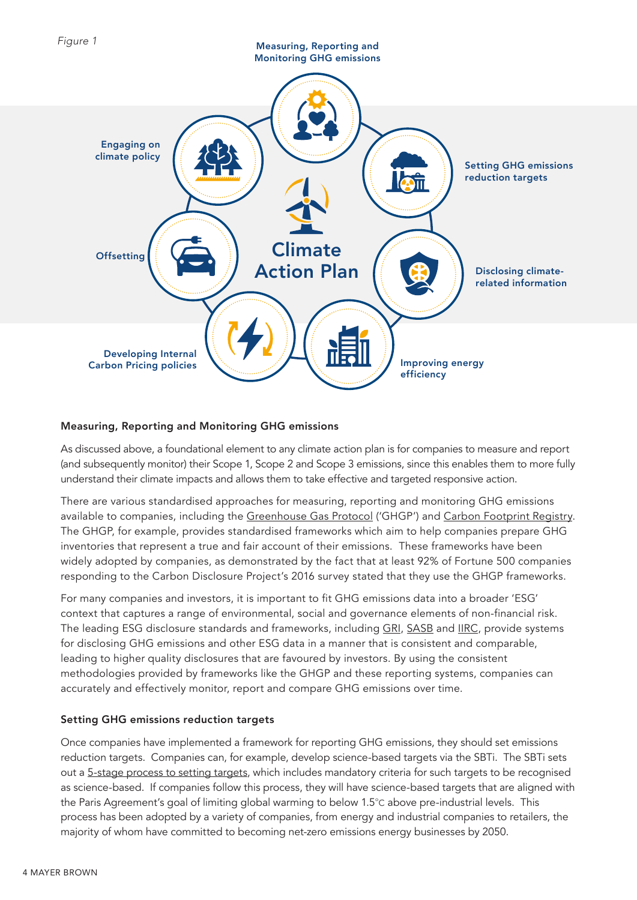

#### Measuring, Reporting and Monitoring GHG emissions

As discussed above, a foundational element to any climate action plan is for companies to measure and report (and subsequently monitor) their Scope 1, Scope 2 and Scope 3 emissions, since this enables them to more fully understand their climate impacts and allows them to take effective and targeted responsive action.

There are various standardised approaches for measuring, reporting and monitoring GHG emissions available to companies, including the [Greenhouse Gas Protocol](https://ghgprotocol.org/corporate-standard) ('GHGP') and [Carbon Footprint Registry](https://www.theclimateregistry.org/programs-services/voluntary-reporting/how-to-join/). The GHGP, for example, provides standardised frameworks which aim to help companies prepare GHG inventories that represent a true and fair account of their emissions. These frameworks have been widely adopted by companies, as demonstrated by the fact that at least 92% of Fortune 500 companies responding to the Carbon Disclosure Project's 2016 survey stated that they use the GHGP frameworks.

For many companies and investors, it is important to fit GHG emissions data into a broader 'ESG' context that captures a range of environmental, social and governance elements of non-financial risk. The leading ESG disclosure standards and frameworks, including [GRI,](https://www.globalreporting.org/) [SASB](https://www.sasb.org/) and [IIRC,](https://www.integratedreporting.org/) provide systems for disclosing GHG emissions and other ESG data in a manner that is consistent and comparable, leading to higher quality disclosures that are favoured by investors. By using the consistent methodologies provided by frameworks like the GHGP and these reporting systems, companies can accurately and effectively monitor, report and compare GHG emissions over time.

#### Setting GHG emissions reduction targets

Once companies have implemented a framework for reporting GHG emissions, they should set emissions reduction targets. Companies can, for example, develop science-based targets via the SBTi. The SBTi sets out a 5-stage process to setting targets, which includes mandatory criteria for such targets to be recognised as science-based. If companies follow this process, they will have science-based targets that are aligned with the Paris Agreement's goal of limiting global warming to below 1.5°C above pre-industrial levels. This process has been adopted by a variety of companies, from energy and industrial companies to retailers, the majority of whom have committed to becoming net-zero emissions energy businesses by 2050.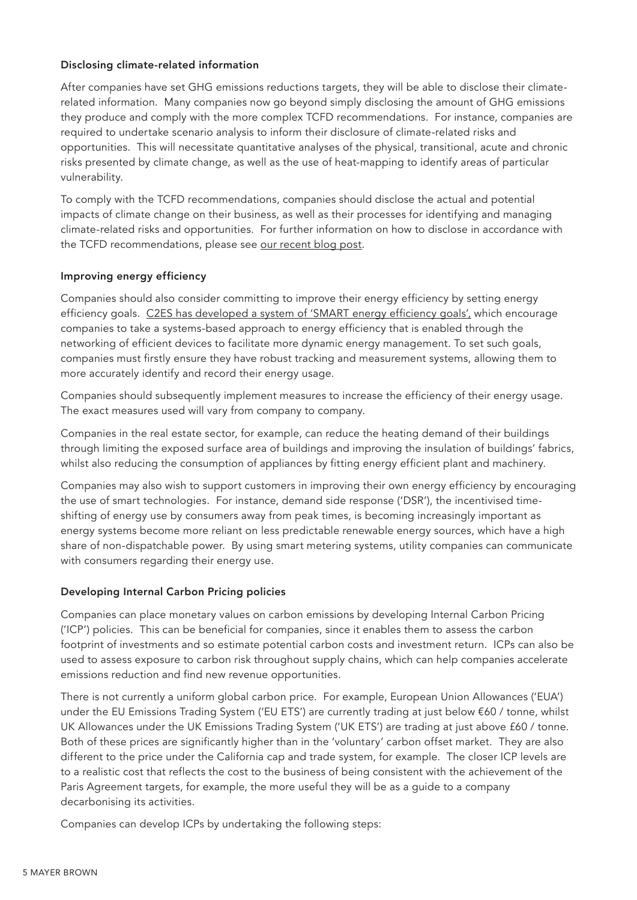#### Disclosing climate-related information

After companies have set GHG emissions reductions targets, they will be able to disclose their climaterelated information. Many companies now go beyond simply disclosing the amount of GHG emissions they produce and comply with the more complex TCFD recommendations. For instance, companies are required to undertake scenario analysis to inform their disclosure of climate-related risks and opportunities. This will necessitate quantitative analyses of the physical, transitional, acute and chronic risks presented by climate change, as well as the use of heat-mapping to identify areas of particular vulnerability.

To comply with the TCFD recommendations, companies should disclose the actual and potential impacts of climate change on their business, as well as their processes for identifying and managing climate-related risks and opportunities. For further information on how to disclose in accordance with the TCFD recommendations, please see [our recent blog post](https://www.eyeonesg.com/2021/09/tcfd-recommendations-an-update-on-climate-disclosures/).

#### Improving energy efficiency

Companies should also consider committing to improve their energy efficiency by setting energy efficiency goals. [C2ES has developed a system of 'SMART energy efficiency goals',](https://www.c2es.org/content/business-strategies-to-address-climate-change/) which encourage companies to take a systems-based approach to energy efficiency that is enabled through the networking of efficient devices to facilitate more dynamic energy management. To set such goals, companies must firstly ensure they have robust tracking and measurement systems, allowing them to more accurately identify and record their energy usage.

Companies should subsequently implement measures to increase the efficiency of their energy usage. The exact measures used will vary from company to company.

Companies in the real estate sector, for example, can reduce the heating demand of their buildings through limiting the exposed surface area of buildings and improving the insulation of buildings' fabrics, whilst also reducing the consumption of appliances by fitting energy efficient plant and machinery.

Companies may also wish to support customers in improving their own energy efficiency by encouraging the use of smart technologies. For instance, demand side response ('DSR'), the incentivised timeshifting of energy use by consumers away from peak times, is becoming increasingly important as energy systems become more reliant on less predictable renewable energy sources, which have a high share of non-dispatchable power. By using smart metering systems, utility companies can communicate with consumers regarding their energy use.

#### Developing Internal Carbon Pricing policies

Companies can place monetary values on carbon emissions by developing Internal Carbon Pricing ('ICP') policies. This can be beneficial for companies, since it enables them to assess the carbon footprint of investments and so estimate potential carbon costs and investment return. ICPs can also be used to assess exposure to carbon risk throughout supply chains, which can help companies accelerate emissions reduction and find new revenue opportunities.

There is not currently a uniform global carbon price. For example, European Union Allowances ('EUA') under the EU Emissions Trading System ('EU ETS') are currently trading at just below €60 / tonne, whilst UK Allowances under the UK Emissions Trading System ('UK ETS') are trading at just above £60 / tonne. Both of these prices are significantly higher than in the 'voluntary' carbon offset market. They are also different to the price under the California cap and trade system, for example. The closer ICP levels are to a realistic cost that reflects the cost to the business of being consistent with the achievement of the Paris Agreement targets, for example, the more useful they will be as a guide to a company decarbonising its activities.

Companies can develop ICPs by undertaking the following steps: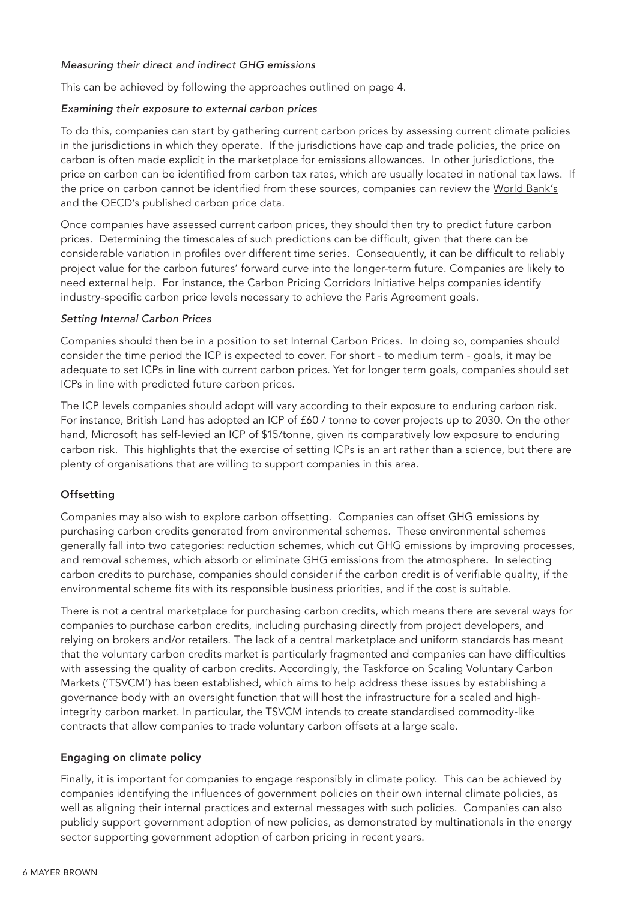#### *Measuring their direct and indirect GHG emissions*

This can be achieved by following the approaches outlined on page 4.

#### *Examining their exposure to external carbon prices*

To do this, companies can start by gathering current carbon prices by assessing current climate policies in the jurisdictions in which they operate. If the jurisdictions have cap and trade policies, the price on carbon is often made explicit in the marketplace for emissions allowances. In other jurisdictions, the price on carbon can be identified from carbon tax rates, which are usually located in national tax laws. If the price on carbon cannot be identified from these sources, companies can review the [World Bank's](https://carbonpricingdashboard.worldbank.org/) and the **[OECD's](https://www.oecd.org/tax/tax-policy/effective-carbon-rates-2021-0e8e24f5-en.htm)** published carbon price data.

Once companies have assessed current carbon prices, they should then try to predict future carbon prices. Determining the timescales of such predictions can be difficult, given that there can be considerable variation in profiles over different time series. Consequently, it can be difficult to reliably project value for the carbon futures' forward curve into the longer-term future. Companies are likely to need external help. For instance, the [Carbon Pricing Corridors Initiative](https://www.cdp.net/en/climate/carbon-pricing/corridors) helps companies identify industry-specific carbon price levels necessary to achieve the Paris Agreement goals.

#### *Setting Internal Carbon Prices*

Companies should then be in a position to set Internal Carbon Prices. In doing so, companies should consider the time period the ICP is expected to cover. For short - to medium term - goals, it may be adequate to set ICPs in line with current carbon prices. Yet for longer term goals, companies should set ICPs in line with predicted future carbon prices.

The ICP levels companies should adopt will vary according to their exposure to enduring carbon risk. For instance, British Land has adopted an ICP of £60 / tonne to cover projects up to 2030. On the other hand, Microsoft has self-levied an ICP of \$15/tonne, given its comparatively low exposure to enduring carbon risk. This highlights that the exercise of setting ICPs is an art rather than a science, but there are plenty of organisations that are willing to support companies in this area.

#### **Offsetting**

Companies may also wish to explore carbon offsetting. Companies can offset GHG emissions by purchasing carbon credits generated from environmental schemes. These environmental schemes generally fall into two categories: reduction schemes, which cut GHG emissions by improving processes, and removal schemes, which absorb or eliminate GHG emissions from the atmosphere. In selecting carbon credits to purchase, companies should consider if the carbon credit is of verifiable quality, if the environmental scheme fits with its responsible business priorities, and if the cost is suitable.

There is not a central marketplace for purchasing carbon credits, which means there are several ways for companies to purchase carbon credits, including purchasing directly from project developers, and relying on brokers and/or retailers. The lack of a central marketplace and uniform standards has meant that the voluntary carbon credits market is particularly fragmented and companies can have difficulties with assessing the quality of carbon credits. Accordingly, the Taskforce on Scaling Voluntary Carbon Markets ('TSVCM') has been established, which aims to help address these issues by establishing a governance body with an oversight function that will host the infrastructure for a scaled and highintegrity carbon market. In particular, the TSVCM intends to create standardised commodity-like contracts that allow companies to trade voluntary carbon offsets at a large scale.

#### Engaging on climate policy

Finally, it is important for companies to engage responsibly in climate policy. This can be achieved by companies identifying the influences of government policies on their own internal climate policies, as well as aligning their internal practices and external messages with such policies. Companies can also publicly support government adoption of new policies, as demonstrated by multinationals in the energy sector supporting government adoption of carbon pricing in recent years.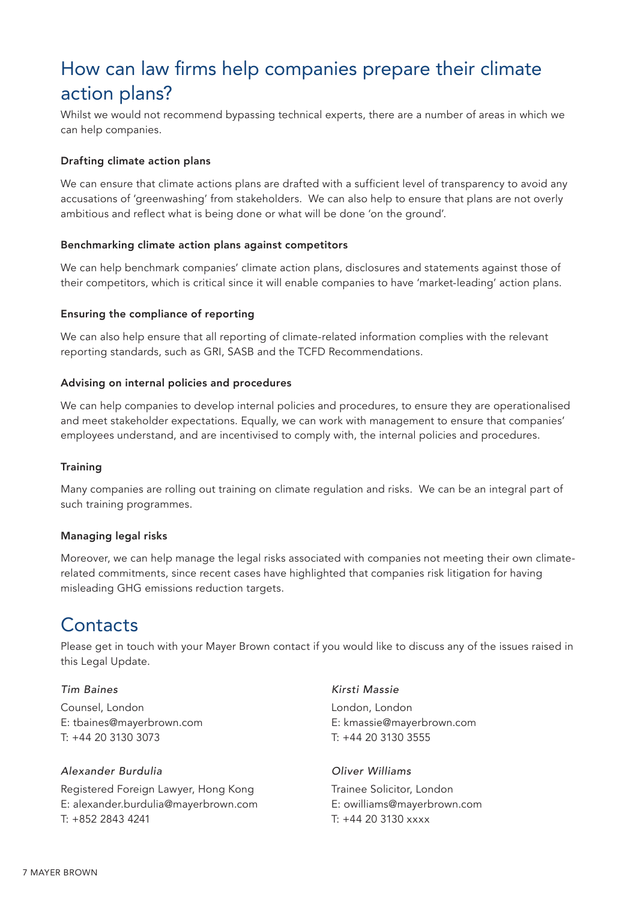# How can law firms help companies prepare their climate action plans?

Whilst we would not recommend bypassing technical experts, there are a number of areas in which we can help companies.

#### Drafting climate action plans

We can ensure that climate actions plans are drafted with a sufficient level of transparency to avoid any accusations of 'greenwashing' from stakeholders. We can also help to ensure that plans are not overly ambitious and reflect what is being done or what will be done 'on the ground'.

#### Benchmarking climate action plans against competitors

We can help benchmark companies' climate action plans, disclosures and statements against those of their competitors, which is critical since it will enable companies to have 'market-leading' action plans.

#### Ensuring the compliance of reporting

We can also help ensure that all reporting of climate-related information complies with the relevant reporting standards, such as GRI, SASB and the TCFD Recommendations.

#### Advising on internal policies and procedures

We can help companies to develop internal policies and procedures, to ensure they are operationalised and meet stakeholder expectations. Equally, we can work with management to ensure that companies' employees understand, and are incentivised to comply with, the internal policies and procedures.

#### **Training**

Many companies are rolling out training on climate regulation and risks. We can be an integral part of such training programmes.

#### Managing legal risks

Moreover, we can help manage the legal risks associated with companies not meeting their own climaterelated commitments, since recent cases have highlighted that companies risk litigation for having misleading GHG emissions reduction targets.

### **Contacts**

Please get in touch with your Mayer Brown contact if you would like to discuss any of the issues raised in this Legal Update.

#### *Tim Baines*

Counsel, London E: tbaines@mayerbrown.com T: +44 20 3130 3073

#### *Alexander Burdulia*

Registered Foreign Lawyer, Hong Kong E: alexander.burdulia@mayerbrown.com T: +852 2843 4241

#### *Kirsti Massie*

London, London E: kmassie@mayerbrown.com T: +44 20 3130 3555

#### *Oliver Williams*

Trainee Solicitor, London E: owilliams@mayerbrown.com T: +44 20 3130 xxxx